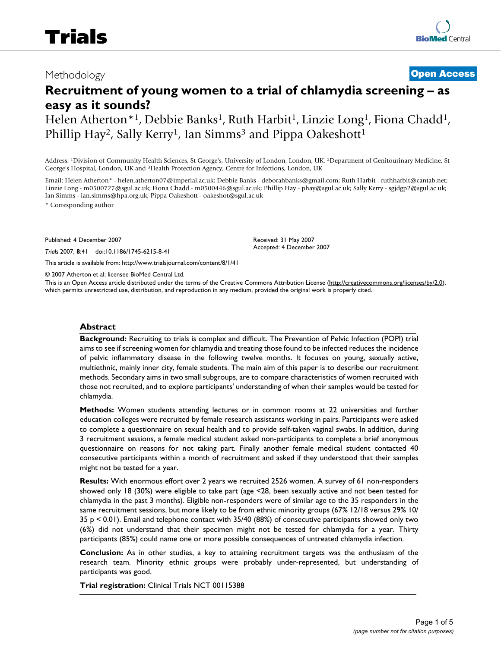# Methodology **[Open Access](http://www.biomedcentral.com/info/about/charter/)**

# **Recruitment of young women to a trial of chlamydia screening – as easy as it sounds?**

Helen Atherton<sup>\*1</sup>, Debbie Banks<sup>1</sup>, Ruth Harbit<sup>1</sup>, Linzie Long<sup>1</sup>, Fiona Chadd<sup>1</sup>, Phillip Hay<sup>2</sup>, Sally Kerry<sup>1</sup>, Ian Simms<sup>3</sup> and Pippa Oakeshott<sup>1</sup>

Address: 1Division of Community Health Sciences, St George's, University of London, London, UK, 2Department of Genitourinary Medicine, St George's Hospital, London, UK and 3Health Protection Agency, Centre for Infections, London, UK

Email: Helen Atherton\* - helen.atherton07@imperial.ac.uk; Debbie Banks - deborahbanks@gmail.com; Ruth Harbit - ruthharbit@cantab.net; Linzie Long - m0500727@sgul.ac.uk; Fiona Chadd - m0500446@sgul.ac.uk; Phillip Hay - phay@sgul.ac.uk; Sally Kerry - sgjdgp2@sgul.ac.uk; Ian Simms - ian.simms@hpa.org.uk; Pippa Oakeshott - oakeshot@sgul.ac.uk

> Received: 31 May 2007 Accepted: 4 December 2007

\* Corresponding author

Published: 4 December 2007

*Trials* 2007, **8**:41 doi:10.1186/1745-6215-8-41

[This article is available from: http://www.trialsjournal.com/content/8/1/41](http://www.trialsjournal.com/content/8/1/41)

© 2007 Atherton et al; licensee BioMed Central Ltd.

This is an Open Access article distributed under the terms of the Creative Commons Attribution License [\(http://creativecommons.org/licenses/by/2.0\)](http://creativecommons.org/licenses/by/2.0), which permits unrestricted use, distribution, and reproduction in any medium, provided the original work is properly cited.

#### **Abstract**

**Background:** Recruiting to trials is complex and difficult. The Prevention of Pelvic Infection (POPI) trial aims to see if screening women for chlamydia and treating those found to be infected reduces the incidence of pelvic inflammatory disease in the following twelve months. It focuses on young, sexually active, multiethnic, mainly inner city, female students. The main aim of this paper is to describe our recruitment methods. Secondary aims in two small subgroups, are to compare characteristics of women recruited with those not recruited, and to explore participants' understanding of when their samples would be tested for chlamydia.

**Methods:** Women students attending lectures or in common rooms at 22 universities and further education colleges were recruited by female research assistants working in pairs. Participants were asked to complete a questionnaire on sexual health and to provide self-taken vaginal swabs. In addition, during 3 recruitment sessions, a female medical student asked non-participants to complete a brief anonymous questionnaire on reasons for not taking part. Finally another female medical student contacted 40 consecutive participants within a month of recruitment and asked if they understood that their samples might not be tested for a year.

**Results:** With enormous effort over 2 years we recruited 2526 women. A survey of 61 non-responders showed only 18 (30%) were eligible to take part (age <28, been sexually active and not been tested for chlamydia in the past 3 months). Eligible non-responders were of similar age to the 35 responders in the same recruitment sessions, but more likely to be from ethnic minority groups (67% 12/18 versus 29% 10/ 35 p < 0.01). Email and telephone contact with 35/40 (88%) of consecutive participants showed only two (6%) did not understand that their specimen might not be tested for chlamydia for a year. Thirty participants (85%) could name one or more possible consequences of untreated chlamydia infection.

**Conclusion:** As in other studies, a key to attaining recruitment targets was the enthusiasm of the research team. Minority ethnic groups were probably under-represented, but understanding of participants was good.

**Trial registration:** Clinical Trials NCT 00115388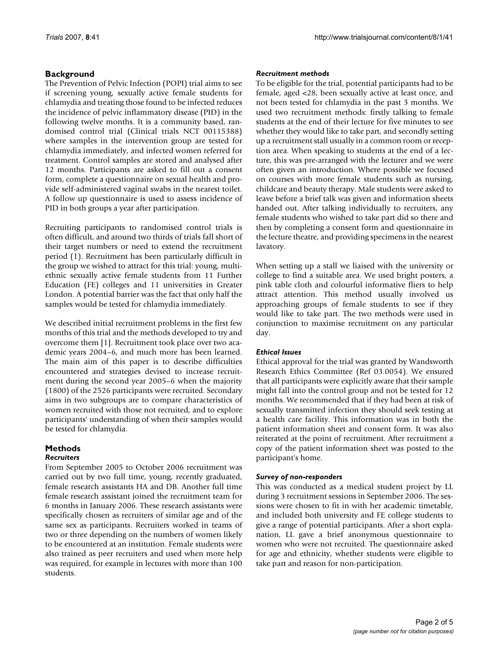# **Background**

The Prevention of Pelvic Infection (POPI) trial aims to see if screening young, sexually active female students for chlamydia and treating those found to be infected reduces the incidence of pelvic inflammatory disease (PID) in the following twelve months. It is a community based, randomised control trial (Clinical trials NCT 00115388) where samples in the intervention group are tested for chlamydia immediately, and infected women referred for treatment. Control samples are stored and analysed after 12 months. Participants are asked to fill out a consent form, complete a questionnaire on sexual health and provide self-administered vaginal swabs in the nearest toilet. A follow up questionnaire is used to assess incidence of PID in both groups a year after participation.

Recruiting participants to randomised control trials is often difficult, and around two thirds of trials fall short of their target numbers or need to extend the recruitment period (1). Recruitment has been particularly difficult in the group we wished to attract for this trial: young, multiethnic sexually active female students from 11 Further Education (FE) colleges and 11 universities in Greater London. A potential barrier was the fact that only half the samples would be tested for chlamydia immediately.

We described initial recruitment problems in the first few months of this trial and the methods developed to try and overcome them [1]. Recruitment took place over two academic years 2004–6, and much more has been learned. The main aim of this paper is to describe difficulties encountered and strategies devised to increase recruitment during the second year 2005–6 when the majority (1800) of the 2526 participants were recruited. Secondary aims in two subgroups are to compare characteristics of women recruited with those not recruited, and to explore participants' understanding of when their samples would be tested for chlamydia.

# **Methods**

#### *Recruiters*

From September 2005 to October 2006 recruitment was carried out by two full time, young, recently graduated, female research assistants HA and DB. Another full time female research assistant joined the recruitment team for 6 months in January 2006. These research assistants were specifically chosen as recruiters of similar age and of the same sex as participants. Recruiters worked in teams of two or three depending on the numbers of women likely to be encountered at an institution. Female students were also trained as peer recruiters and used when more help was required, for example in lectures with more than 100 students.

#### *Recruitment methods*

To be eligible for the trial, potential participants had to be female, aged <28, been sexually active at least once, and not been tested for chlamydia in the past 3 months. We used two recruitment methods: firstly talking to female students at the end of their lecture for five minutes to see whether they would like to take part, and secondly setting up a recruitment stall usually in a common room or reception area. When speaking to students at the end of a lecture, this was pre-arranged with the lecturer and we were often given an introduction. Where possible we focused on courses with more female students such as nursing, childcare and beauty therapy. Male students were asked to leave before a brief talk was given and information sheets handed out. After talking individually to recruiters, any female students who wished to take part did so there and then by completing a consent form and questionnaire in the lecture theatre, and providing specimens in the nearest lavatory.

When setting up a stall we liaised with the university or college to find a suitable area. We used bright posters, a pink table cloth and colourful informative fliers to help attract attention. This method usually involved us approaching groups of female students to see if they would like to take part. The two methods were used in conjunction to maximise recruitment on any particular day.

#### *Ethical Issues*

Ethical approval for the trial was granted by Wandsworth Research Ethics Committee (Ref 03.0054). We ensured that all participants were explicitly aware that their sample might fall into the control group and not be tested for 12 months. We recommended that if they had been at risk of sexually transmitted infection they should seek testing at a health care facility. This information was in both the patient information sheet and consent form. It was also reiterated at the point of recruitment. After recruitment a copy of the patient information sheet was posted to the participant's home.

#### *Survey of non-responders*

This was conducted as a medical student project by LL during 3 recruitment sessions in September 2006. The sessions were chosen to fit in with her academic timetable, and included both university and FE college students to give a range of potential participants. After a short explanation, LL gave a brief anonymous questionnaire to women who were not recruited. The questionnaire asked for age and ethnicity, whether students were eligible to take part and reason for non-participation.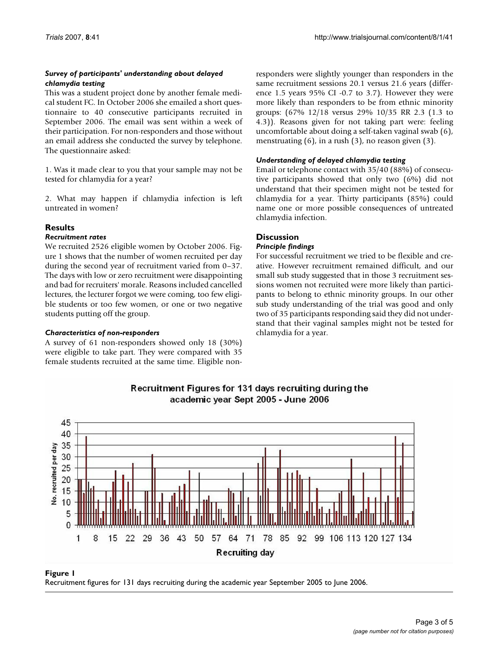# *Survey of participants' understanding about delayed chlamydia testing*

This was a student project done by another female medical student FC. In October 2006 she emailed a short questionnaire to 40 consecutive participants recruited in September 2006. The email was sent within a week of their participation. For non-responders and those without an email address she conducted the survey by telephone. The questionnaire asked:

1. Was it made clear to you that your sample may not be tested for chlamydia for a year?

2. What may happen if chlamydia infection is left untreated in women?

# **Results**

## *Recruitment rates*

We recruited 2526 eligible women by October 2006. Figure 1 shows that the number of women recruited per day during the second year of recruitment varied from 0–37. The days with low or zero recruitment were disappointing and bad for recruiters' morale. Reasons included cancelled lectures, the lecturer forgot we were coming, too few eligible students or too few women, or one or two negative students putting off the group.

## *Characteristics of non-responders*

A survey of 61 non-responders showed only 18 (30%) were eligible to take part. They were compared with 35 female students recruited at the same time. Eligible nonresponders were slightly younger than responders in the same recruitment sessions 20.1 versus 21.6 years (difference 1.5 years 95% CI -0.7 to 3.7). However they were more likely than responders to be from ethnic minority groups: (67% 12/18 versus 29% 10/35 RR 2.3 (1.3 to 4.3)). Reasons given for not taking part were: feeling uncomfortable about doing a self-taken vaginal swab (6), menstruating (6), in a rush (3), no reason given (3).

# *Understanding of delayed chlamydia testing*

Email or telephone contact with 35/40 (88%) of consecutive participants showed that only two (6%) did not understand that their specimen might not be tested for chlamydia for a year. Thirty participants (85%) could name one or more possible consequences of untreated chlamydia infection.

# **Discussion**

#### *Principle findings*

For successful recruitment we tried to be flexible and creative. However recruitment remained difficult, and our small sub study suggested that in those 3 recruitment sessions women not recruited were more likely than participants to belong to ethnic minority groups. In our other sub study understanding of the trial was good and only two of 35 participants responding said they did not understand that their vaginal samples might not be tested for chlamydia for a year.



Recruitment Figures for 131 days recruiting during the academic year Sept 2005 - June 2006

Recruitment figures for 131 days recruiting duri **Figure 1** ng the academic year September 2005 to June 2006 Recruitment figures for 131 days recruiting during the academic year September 2005 to June 2006.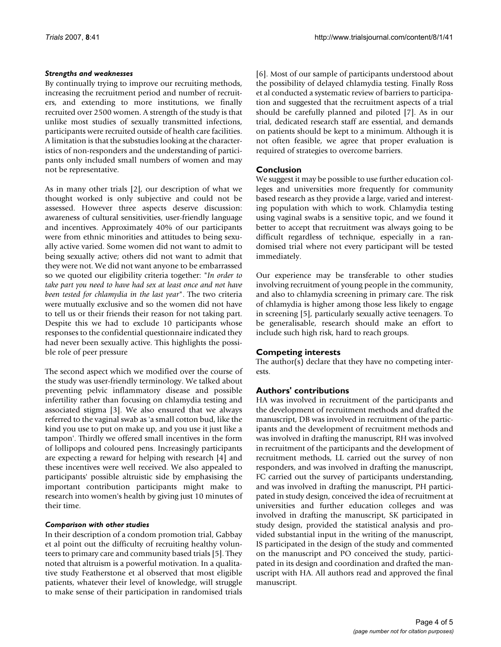#### *Strengths and weaknesses*

By continually trying to improve our recruiting methods, increasing the recruitment period and number of recruiters, and extending to more institutions, we finally recruited over 2500 women. A strength of the study is that unlike most studies of sexually transmitted infections, participants were recruited outside of health care facilities. A limitation is that the substudies looking at the characteristics of non-responders and the understanding of participants only included small numbers of women and may not be representative.

As in many other trials [2], our description of what we thought worked is only subjective and could not be assessed. However three aspects deserve discussion: awareness of cultural sensitivities, user-friendly language and incentives. Approximately 40% of our participants were from ethnic minorities and attitudes to being sexually active varied. Some women did not want to admit to being sexually active; others did not want to admit that they were not. We did not want anyone to be embarrassed so we quoted our eligibility criteria together: "*In order to take part you need to have had sex at least once and not have been tested for chlamydia in the last year*". The two criteria were mutually exclusive and so the women did not have to tell us or their friends their reason for not taking part. Despite this we had to exclude 10 participants whose responses to the confidential questionnaire indicated they had never been sexually active. This highlights the possible role of peer pressure

The second aspect which we modified over the course of the study was user-friendly terminology. We talked about preventing pelvic inflammatory disease and possible infertility rather than focusing on chlamydia testing and associated stigma [3]. We also ensured that we always referred to the vaginal swab as 'a small cotton bud, like the kind you use to put on make up, and you use it just like a tampon'. Thirdly we offered small incentives in the form of lollipops and coloured pens. Increasingly participants are expecting a reward for helping with research [4] and these incentives were well received. We also appealed to participants' possible altruistic side by emphasising the important contribution participants might make to research into women's health by giving just 10 minutes of their time.

## *Comparison with other studies*

In their description of a condom promotion trial, Gabbay et al point out the difficulty of recruiting healthy volunteers to primary care and community based trials [5]. They noted that altruism is a powerful motivation. In a qualitative study Featherstone et al observed that most eligible patients, whatever their level of knowledge, will struggle to make sense of their participation in randomised trials

[6]. Most of our sample of participants understood about the possibility of delayed chlamydia testing. Finally Ross et al conducted a systematic review of barriers to participation and suggested that the recruitment aspects of a trial should be carefully planned and piloted [7]. As in our trial, dedicated research staff are essential, and demands on patients should be kept to a minimum. Although it is not often feasible, we agree that proper evaluation is required of strategies to overcome barriers.

# **Conclusion**

We suggest it may be possible to use further education colleges and universities more frequently for community based research as they provide a large, varied and interesting population with which to work. Chlamydia testing using vaginal swabs is a sensitive topic, and we found it better to accept that recruitment was always going to be difficult regardless of technique, especially in a randomised trial where not every participant will be tested immediately.

Our experience may be transferable to other studies involving recruitment of young people in the community, and also to chlamydia screening in primary care. The risk of chlamydia is higher among those less likely to engage in screening [5], particularly sexually active teenagers. To be generalisable, research should make an effort to include such high risk, hard to reach groups.

## **Competing interests**

The author(s) declare that they have no competing interests.

## **Authors' contributions**

HA was involved in recruitment of the participants and the development of recruitment methods and drafted the manuscript, DB was involved in recruitment of the participants and the development of recruitment methods and was involved in drafting the manuscript, RH was involved in recruitment of the participants and the development of recruitment methods, LL carried out the survey of non responders, and was involved in drafting the manuscript, FC carried out the survey of participants understanding, and was involved in drafting the manuscript, PH participated in study design, conceived the idea of recruitment at universities and further education colleges and was involved in drafting the manuscript, SK participated in study design, provided the statistical analysis and provided substantial input in the writing of the manuscript, IS participated in the design of the study and commented on the manuscript and PO conceived the study, participated in its design and coordination and drafted the manuscript with HA. All authors read and approved the final manuscript.